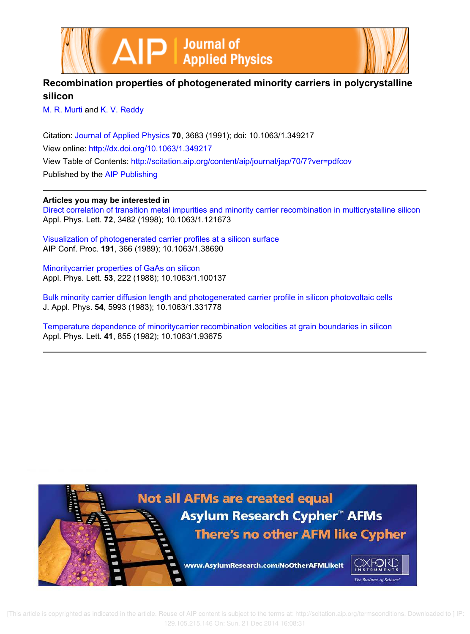



# **Recombination properties of photogenerated minority carriers in polycrystalline silicon**

M. R. Murti and K. V. Reddy

Citation: Journal of Applied Physics **70**, 3683 (1991); doi: 10.1063/1.349217 View online: http://dx.doi.org/10.1063/1.349217 View Table of Contents: http://scitation.aip.org/content/aip/journal/jap/70/7?ver=pdfcov Published by the AIP Publishing

## **Articles you may be interested in**

Direct correlation of transition metal impurities and minority carrier recombination in multicrystalline silicon Appl. Phys. Lett. **72**, 3482 (1998); 10.1063/1.121673

Visualization of photogenerated carrier profiles at a silicon surface AIP Conf. Proc. **191**, 366 (1989); 10.1063/1.38690

Minoritycarrier properties of GaAs on silicon Appl. Phys. Lett. **53**, 222 (1988); 10.1063/1.100137

Bulk minority carrier diffusion length and photogenerated carrier profile in silicon photovoltaic cells J. Appl. Phys. **54**, 5993 (1983); 10.1063/1.331778

Temperature dependence of minoritycarrier recombination velocities at grain boundaries in silicon Appl. Phys. Lett. **41**, 855 (1982); 10.1063/1.93675

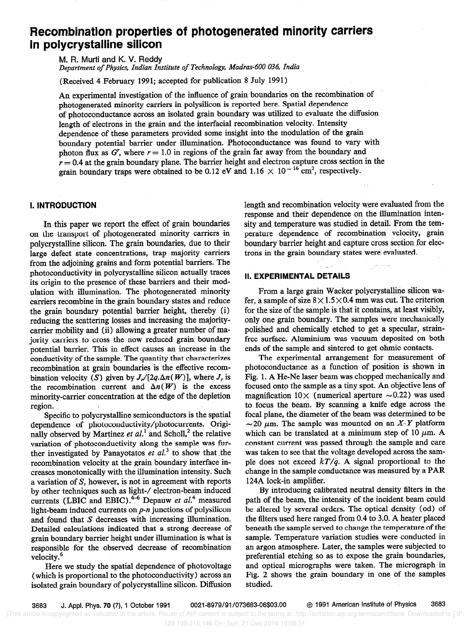# Recombination properties of photogenerated minority carriers in polycrystalline silicon

M. R. Murti and K. V. Reddy

Department of Physics, Indian Institute of Technology, Madras-600 036, India

(Received 4 February 1991; accepted for publication 8 July 1991)

An experimental investigation of the influence of grain boundaries on the recombination of photogenerated minority carriers in polysilicon is reported here. Spatial dependence of photoconductance across an isolated grain boundary was utilized to evaluate the diffusion length of electrons in the grain and the interfacial recombination velocity. Intensity dependence of these parameters provided some insight into the modulation of the grain boundary potential barrier under illumination. Photoconductance was found to vary with photon flux as  $G'$ , where  $r = 1.0$  in regions of the grain far away from the boundary and  $r = 0.4$  at the grain boundary plane. The barrier height and electron capture cross section in the grain boundary traps were obtained to be 0.12 eV and 1.16  $\times$  10<sup>-16</sup> cm<sup>2</sup>, respectively.

## I. INTRODUCTION

.In this paper we report the effect of grain boundaries on the transport of photogenerated minority carriers in polycrystalline silicon. The grain boundaries, due to their large defect state concentrations, trap majority carriers from the adjoining grains and form potential barriers. The photoconductivity in polycrystalline silicon actually traces its origin to the presence of these barriers and their modulation with illumination. The photogenerated minority carriers recombine in the grain boundary states and reduce the grain boundary potential barrier height, thereby (i) reducing the scattering losses and increasing the majoritycarrier mobility and (ii) allowing a greater number of majority carriers to cross the now reduced grain. boundary potential barrier. This in effect causes an increase in the conductivity of the sample. The quantity that characterizes recombination at grain boundaries is the effective recombination velocity (S) given by  $J_r/[2q.\Delta n(W)]$ , where  $J_r$  is the recombination current and  $\Delta n(W)$  is the excess minority-carrier concentration at the edge of the depletion region.

Specific to polycrystalline semiconductors is the spatial dependence of photoconductivity/photocurrents. Originally observed by Martinez et  $al$ <sup>1</sup> and Scholl,<sup>2</sup> the relative variation of photoconductivity along the sample was further investigated by Panayotatos et  $al<sup>3</sup>$  to show that the recombination velocity at the grain boundary interface increases monotonically with the illumination intensity. Such a variation of S, however, is not in agreement with reports by other techniques such as light-/ electron-beam induced currents (LBIC and EBIC).<sup>4-6</sup> Depauw et  $al$ <sup>4</sup> measured light-beam induced currents on p-n junctions of polysilicon and found that S decreases with increasing illumination. Detailed calculations indicated that a strong decrease of grain boundary barrier height under illumination is what is responsible for the observed decrease of recombination velocity.<sup>6</sup>

Here we study the spatial dependence of photovoltage (which is proportional to the photoconductivity) across an isolated grain boundary of polycrystalline silicon. Diffusion length and recombination velocity were evaluated from the response and their dependence on the illumination intensity and temperature was studied in detail. From the temperature dependence of recombination velocity, grain boundary barrier height and capture cross section for electrons in the grain boundary states were evaluated.

#### II. EXPERIMENTAL DETAILS

From a large grain Wacker polycrystalline silicon wafer, a sample of size  $8 \times 1.5 \times 0.4$  mm was cut. The criterion for the size of the sample is that it contains, at least visibly, only one grain boundary. The samples were mechanically polished and chemically etched to get a specular, strainfree surface. Aluminium was vacuum deposited on both ends of the sample and sintered to get ohmic contacts.

The experimental arrangement for measurement of photoconductance as a function of position is shown in Fig. 1. A He-Ne laser beam was chopped mechanically and focused onto the sample as a tiny spot. An objective lens of magnification  $10 \times$  (numerical aperture  $\sim 0.22$ ) was used to focus the beam. By scanning a knife edge across the focal plane, the diameter of the beam was determined to be  $\sim$  20  $\mu$ m. The sample was mounted on an X-Y platform which can be translated at a minimum step of 10  $\mu$ m. A constant current was passed through the sample and care was taken to see that the voltage developed across the sample does not exceed  $kT/q$ . A signal proportional to the change in the sample conductance was measured by a PAR 124A lock-in amplifier.

By introducing calibrated neutral density filters in the path of the beam, the intensity of the incident beam could be altered by several orders. The optical density (od) of the filters used here ranged from 0.4 to 3.0. A heater placed beneath the sample served to change the temperature of the sample. Temperature variation studies were conducted in an argon atmosphere. Later, the samples were subjected to preferential etching so as to expose the grain boundaries, and optical micrographs were taken. The micrograph in Fig. 2 shows the grain boundary in one of the samples studied.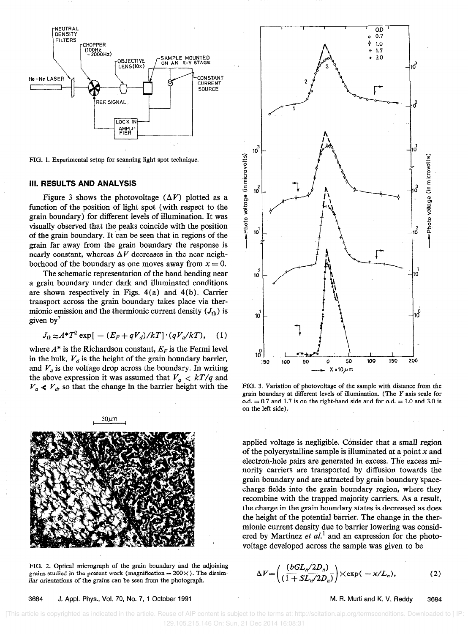

FIG. 1. Experimental setup for scanning light spot technique.

#### III. RESULTS AND ANALYSIS

Figure 3 shows the photovoltage  $(\Delta V)$  plotted as a function of the position of light spot (with respect to the grain boundary) for different levels of illumination. It was visually observed that the peaks coincide with the position of the grain boundary. It can be seen that in regions of the grain far away from the grain boundary the response is nearly constant, whereas  $\Delta V$  decreases in the near neighborhood of the boundary as one moves away from  $x = 0$ .

The schematic representation of the band bending near a grain boundary under dark and illuminated conditions are shown respectively in Figs. 4(a) and 4(b). Carrier transport across the grain boundary takes place via thermionic emission and the thermionic current density  $(J<sub>th</sub>)$  is given by'

$$
J_{\text{th}} \approx A^* T^2 \exp\left[-\left(E_F + qV_d\right)/kT\right] \cdot \left(qV_a/kT\right), \quad (1)
$$

where  $A^*$  is the Richardson constant,  $E_F$  is the Fermi level in the bulk,  $V_d$  is the height of the grain boundary barrier, and  $V_a$  is the voltage drop across the boundary. In writing the above expression it was assumed that  $V_a < kT/q$  and  $V_a \ll V_d$ , so that the change in the barrier height with the



FIG. 2. Optical micrograph of the grain boundary and the adjoining grains studied in the present work (magnification =  $200 \times$  ). The dissimilar orientations of the grains can be seen from the photograph.

3684 J. Appl. Phys., Vol. 70, No. 7, 1 October 1991 M. R. Murti and K. V. Reddy 3684



FIG. 3. Variation of photovoltage of the sample with distance from the grain boundary at different levels of illumination. (The Y axis scale for o.d.  $= 0.7$  and 1.7 is on the right-hand side and for o.d.  $= 1.0$  and 3.0 is on the left side).

applied voltage is negligible. Consider that a small region of the polycrystalline sample is illuminated at a point  $x$  and electron-hole pairs are generated in excess. The excess minority carriers are transported by diffusion towards the grain boundary and are attracted by grain boundary spacecharge fields into the grain boundary region, where they recombine with the trapped majority carriers. As a result, the charge in the grain boundary states is decreased as does the height of the potential barrier. The change in the thermionic current density due to barrier lowering was considered by Martinez et  $al$ <sup>1</sup> and an expression for the photovoltage developed across the sample was given to be

$$
\Delta V = \left(\frac{(bGL_n/2D_n)}{(1+SL_n/2D_n)}\right) \times \exp(-x/L_n),\tag{2}
$$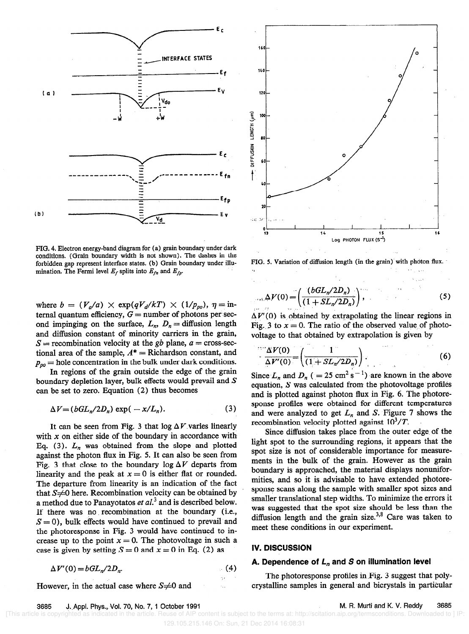

FIG. 4. Electron energy-band diagram for (a) grain boundary under dark conditions. (Grain boundary width is not shown). The dashes in the forbidden gap represent interface states. (b) Grain boundary under illumination. The Fermi level  $E_f$  splits into  $E_{fn}$  and  $E_{fp}$ .

where  $b = (V_a/a) \times \exp(qV_d/kT) \times (1/p_{po}), \eta = \text{in}$ ternal quantum efficiency,  $G =$  number of photons per second impinging on the surface,  $L_n$ ,  $D_n =$  diffusion length and diffusion constant of minority carriers in the grain,  $S =$  recombination velocity at the gb plane,  $a =$  cross-sectional area of the sample,  $A^* =$  Richardson constant, and  $p_{\text{p0}}$  = hole concentration in the bulk under dark conditions.

In regions of the grain outside the edge of the grain boundary depletion layer, bulk effects would prevail and S can be set to zero. Equation (2) thus becomes

$$
\Delta V = (bGL_n/2D_n) \exp(-x/L_n). \tag{3}
$$

It can be seen from Fig. 3 that  $log \Delta V$  varies linearly with  $x$  on either side of the boundary in accordance with Eq. (3).  $L_n$  was obtained from the slope and plotted against the photon flux in Fig. 5. It can also be seen from Fig. 3 that close to the boundary  $\log \Delta V$  departs from linearity and the peak at  $x = 0$  is either flat or rounded. The departure from linearity is an indication of the fact that  $S \neq 0$  here. Recombination velocity can be obtained by a method due to Panayotatos et  $al^3$  and is described below. If there was no. recombination at the boundary (i.e.,  $S = 0$ , bulk effects would have continued to prevail and the photoresponse in Fig. 3 would have continued to increase up to the point  $x = 0$ . The photovoltage in such a case is given by setting  $S = 0$  and  $x = 0$  in Eq. (2) as

$$
\Delta V'(0) = bGL_n/2D_n. \tag{4}
$$

However, in the actual case where 
$$
S \neq 0
$$
 and



FIG. 5. Variation of diffusion length (in the grain) with photon flux.  $\mathbf{B}$  . In the contract of the contract of the contract of the contract of the contract of the contract of the contract of the contract of the contract of the contract of the contract of the contract of the contract of

$$
\mu_{11} \Delta V(0) = \left( \frac{(bGL_n/2D_n)}{(1+SL_n/2D_n)} \right),
$$
 (5)

 $\Delta V'(0)$  is obtained by extrapolating the linear regions in Fig. 3 to  $x = 0$ . The ratio of the observed value of photovoltage to that obtained by extrapolation is given by

$$
\frac{\Delta V(0)}{\Delta V'(0)} = \left(\frac{1}{(1 + SL_n/2D_n)}\right). \tag{6}
$$

Since  $L_n$  and  $D_n$  ( = 25 cm<sup>2</sup> s<sup>-1</sup>) are known in the above equation, S was calculated from the photovoltage profiles and is plotted against photon flux in Fig. 6. The photoresponse profiles were obtained for different temperatures and were analyzed to get  $L_n$  and S. Figure 7 shows the recombination velocity plotted against  $10^3/T$ .

Since diffusion takes place from the outer edge of the light spot to the surrounding regions, it appears that the spot size is not of considerable importance for measurements in the bulk of the grain. However as the grain boundary is approached, the material displays nonuniformities, and so it is advisable to have extended photoresponse scans along the sample with smaller spot sizes and smaller translational step widths. To minimize the errors it was suggested that the spot size should be less than the diffusion length and the grain size. $3,8$  Care was taken to meet these conditions in our experiment.

#### IV. DISCUSSION

### A. Dependence of  $L_n$  and S on illumination level

The photoresponse profiles in.Fig. 3 suggest that polycrystalline samples in general and bicrystals in particular

#### 3685 J. Appl. Phys., Vol. 70, No. 7, 1 October 1991 M. H. Murti and K. V. Reddy 3685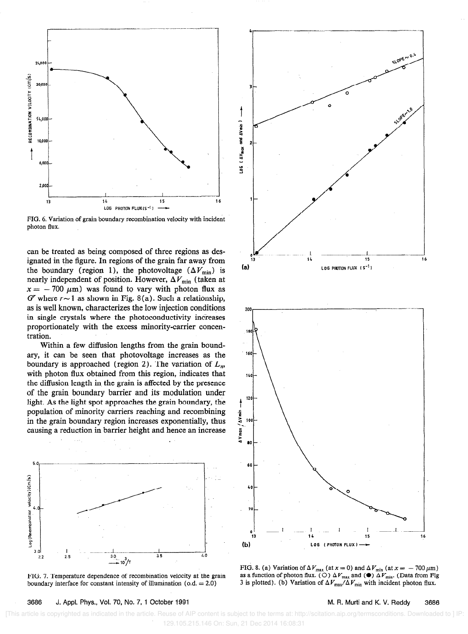

FIG. 6. Variation of grain boundary recombination velocity with incident photon flux.

can be treated as being composed of three regions as designated in the figure. In regions of the grain far away from the boundary (region 1), the photovoltage  $(\Delta V_{\min})$  is nearly independent of position. However,  $\Delta V_{\rm min}$  (taken at  $x = -700 \mu m$ ) was found to vary with photon flux as  $G<sup>r</sup>$  where  $r \sim 1$  as shown in Fig. 8(a). Such a relationship, as is well known, characterizes the low injection conditions in single crystals where the photoconductivity increases proportionately with the excess minority-carrier concentration.

Within a few diffusion lengths from the grain boundary, it can be seen that photovoltage increases as the boundary is approached (region 2). The variation of  $L_n$ , with photon flux obtained from this region, indicates that the diffusion length in the grain is affected by the presence of the grain boundary barrier and its modulation under light. As the light spot approaches the grain boundary, the population of minority carriers reaching and recombining in the grain boundary region increases exponentially, thus causing a reduction in barrier height and hence an increase





LOG [ AVmcx and AVmin ] 15 (a)  $\text{LOG PHOTON FLUX} (S^{-1})$ 200 180 160 140 120 AVmax / AVmin 100



as a function of photon flux. (O)  $\Delta V_{\text{max}}$  and ( $\bullet$ )  $\Delta V_{\text{min}}$ . (Data from Fig 3 is plotted). (b) Variation of  $\Delta V_{\text{max}}/\Delta V_{\text{min}}$  with incident photon flux.

13 14 15 16

#### 3686 J. Appl. Phys., Vol. 70, No. 7, 1 October 1991 M. H. Murti and K. V. Reddy 3686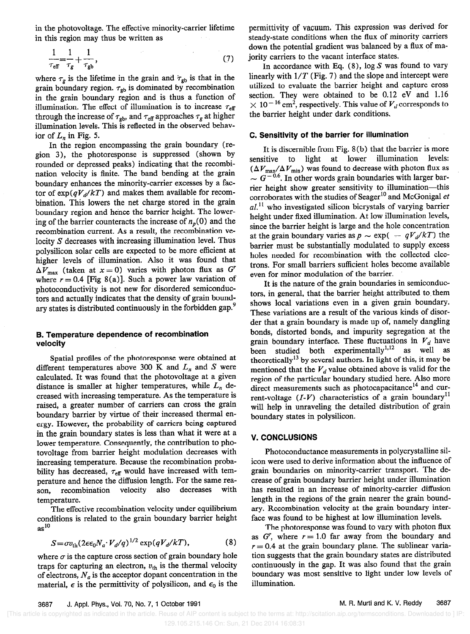in the photovoltage. The effective minority-carrier lifetime in this region may thus be written as

$$
\frac{1}{\tau_{\rm eff}} = \frac{1}{\tau_g} + \frac{1}{\tau_{\rm gb}},\tag{7}
$$

where  $\tau_g$  is the lifetime in the grain and  $\tau_{gb}$  is that in the grain boundary region.  $\tau_{gb}$  is dominated by recombination in the grain boundary region and is thus a function of illumination. The effect of illumination is to increase  $\tau_{\text{eff}}$ through the increase of  $\tau_{\text{gb}}$ , and  $\tau_{\text{eff}}$  approaches  $\tau_g$  at higher illumination levels. This is reflected in the observed behavior of  $L_n$  in Fig. 5.

In the region encompassing the grain boundary (region 3), the photoresponse is suppressed (shown by rounded or depressed peaks) indicating that the recombination velocity is finite. The band bending at the grain boundary enhances the minority-carrier excesses by a factor of  $\exp(qV_d/kT)$  and makes them available for recombination. This lowers the net charge stored in the grain boundary region and hence the barrier height. The lowering of the barrier counteracts the increase of  $n_p(0)$  and the recombination current. As a result, the recombination velocity S decreases with increasing illumination level. Thus polysilicon solar cells are expected to be more efficient at higher levels of illumination. Also it was found that  $\Delta V_{\text{max}}$  (taken at  $x = 0$ ) varies with photon flux as G<sup>r</sup> where  $r = 0.4$  [Fig 8(a)]. Such a power law variation of photoconductivity is not new for disordered semiconductors and actually indicates that the density of grain boundary states is distributed continuously in the forbidden gap.<sup>9</sup>

#### B. Temperature dependence of recombination velocity

Spatial profiles of the photoresponse were obtained at different temperatures above 300 K and  $L_n$  and S were calculated. It was found that the photovoltage at a given distance is smaller at higher temperatures, while  $L_n$  decreased with increasing temperature. As the temperature is raised, a greater number of carriers can cross the grain boundary barrier by virtue of their increased thermal energy. However, the probability of carriers being captured in the grain boundary states is less than what it were at a lower temperature. Consequently, the contribution to photovoltage from barrier height modulation decreases with increasing temperature. Because the recombination probability has decreased,  $\tau_{\text{eff}}$  would have increased with temperature and hence the diffusion length. For the same reason, recombination velocity also decreases with temperature.

The effective recombination velocity under equilibrium conditions is related to the grain boundary barrier height  $as<sup>10</sup>$ 

$$
S = \sigma v_{\text{th}} (2\epsilon \epsilon_0 N_a \cdot V_d/q)^{1/2} \exp(qV_d/kT), \tag{8}
$$

where  $\sigma$  is the capture cross section of grain boundary hole traps for capturing an electron,  $v_{\text{th}}$  is the thermal velocity of electrons,  $N_a$  is the acceptor dopant concentration in the material,  $\epsilon$  is the permittivity of polysilicon, and  $\epsilon_0$  is the

permittivity of vacuum. This expression was derived for steady-state conditions when the flux of minority carriers down the potential gradient was balanced by a flux of majority carriers to the vacant interface states.

In accordance with Eq.  $(8)$ , log S was found to vary linearly with  $1/T$  (Fig. 7) and the slope and intercept were utilized to evaluate the barrier height and capture cross section. They were obtained to be 0.12 eV and 1.16  $\times$  10<sup>-16</sup> cm<sup>2</sup>, respectively. This value of  $V_d$  corresponds to the barrier height under dark conditions.

#### C. Sensitivity of the barrier for illumination

It is discernible from Fig. 8 (b) that the barrier is more sensitive to light at lower illumination levels:  $(\Delta V_{\text{max}}/\Delta V_{\text{min}})$  was found to decrease with photon flux as  $\sim G^{-0.6}$ . In other words grain boundaries with larger barrier height show greater sensitivity to illumination-this corroborates with the studies of Seager<sup>10</sup> and McGonigal et  $al$ .<sup>11</sup> who investigated silicon bicrystals of varying barrier height under fixed illumination. At low illumination levels, since the barrier height is large and the hole concentration at the grain boundary varies as  $p \sim \exp(-qV_d/kT)$  the barrier must be substantially modulated to supply excess holes needed for recombination with the collected electrons. For small barriers sufficient holes become available even for minor modulation of the barrier.

It is the nature of the grain boundaries in semiconductors, in general, that the barrier height attributed to them shows local variations even in a given grain boundary. These variations are a result of the various kinds of disorder that a grain boundary is made up of, namely dangling bonds, distorted bonds, and impurity segregation at the grain boundary interface. These fluctuations in  $V_d$  have been studied both experimentally<sup>1,12</sup> as well as theoretically<sup>13</sup> by several authors. In light of this, it may be mentioned that the  $V_d$  value obtained above is valid for the region of the particular boundary studied here. Also more direct measurements such as photocapacitance<sup>14</sup> and current-voltage  $(I-V)$  characteristics of a grain boundary<sup>11</sup> will help in unraveling the detailed distribution of grain boundary states in polysilicon.

### V. CONCLUSIONS

Photoconductance measurements in polycrystalline silicon were used to derive information about the influence of grain boundaries on minority-carrier transport. The decrease of grain boundary barrier height under illumination has resulted in an increase of minority-carrier diffusion length in the regions of the grain nearer the grain boundary. Recombination velocity at the grain boundary interface was found to be highest at low illumination levels.

The photoresponse was found to vary with photon flux as  $G'$ , where  $r = 1.0$  far away from the boundary and  $r = 0.4$  at the grain boundary plane. The sublinear variation suggests that the grain boundary states are distributed continuously in the gap. It was also found that the grain boundary was most sensitive to light under low levels of illumination.

 <sup>[</sup>This article is copyrighted as indicated in the article. Reuse of AIP content is subject to the terms at: http://scitation.aip.org/termsconditions. Downloaded to ] IP: 129.105.215.146 On: Sun, 21 Dec 2014 16:08:31